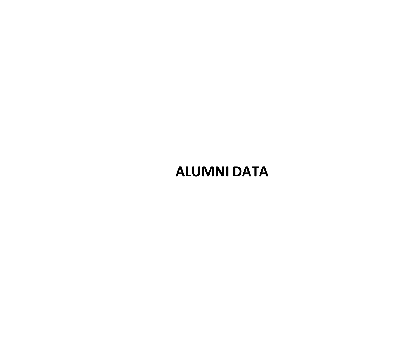# **ALUMNI DATA**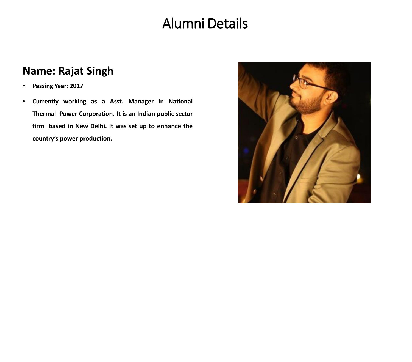# Alumni Details

# **Name: Rajat Singh**

- **Passing Year: 2017**
- **Currently working as a Asst. Manager in National Thermal Power Corporation. It is an Indian public sector firm based in New Delhi. It was set up to enhance the country's power production.**

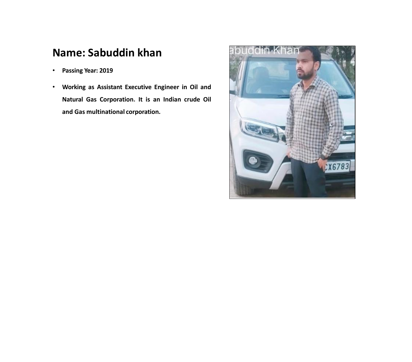# **Name: Sabuddin khan**

- **Passing Year: 2019**
- **Working as Assistant Executive Engineer in Oil and Natural Gas Corporation. It is an Indian crude Oil and Gas multinational corporation.**

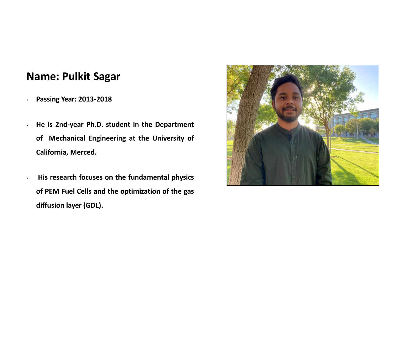#### **Name: Pulkit Sagar**

• **Passing Year: 2013-2018**

• **He is 2nd-year Ph.D. student in the Department of Mechanical Engineering at the University of California, Merced.**

• **His research focuses on the fundamental physics of PEM Fuel Cells and the optimization of the gas diffusion layer (GDL).**

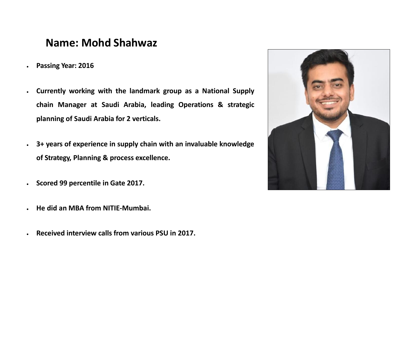#### **Name: Mohd Shahwaz**

- **Passing Year: 2016**
- **Currently working with the landmark group as a National Supply chain Manager at Saudi Arabia, leading Operations & strategic planning of Saudi Arabia for 2 verticals.**
- **3+ years of experience in supply chain with an invaluable knowledge of Strategy, Planning & process excellence.**
- **Scored 99 percentile in Gate 2017.**
- **He did an MBA from NITIE-Mumbai.**
- **Received interview calls from various PSU in 2017.**

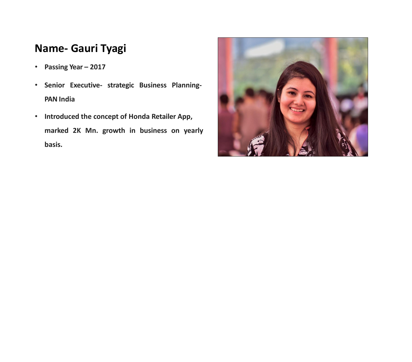# **Name- Gauri Tyagi**

- **Passing Year – 2017**
- **Senior Executive- strategic Business Planning-PAN India**
- **Introduced the concept of Honda Retailer App, marked 2K Mn. growth in business on yearly basis.**

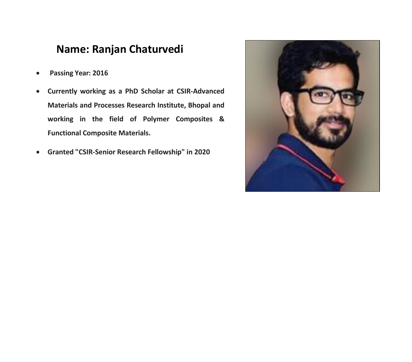#### **Name: Ranjan Chaturvedi**

- **Passing Year: 2016**
- **Currently working as a PhD Scholar at CSIR-Advanced Materials and Processes Research Institute, Bhopal and working in the field of Polymer Composites & Functional Composite Materials.**
- **Granted "CSIR-Senior Research Fellowship" in 2020**

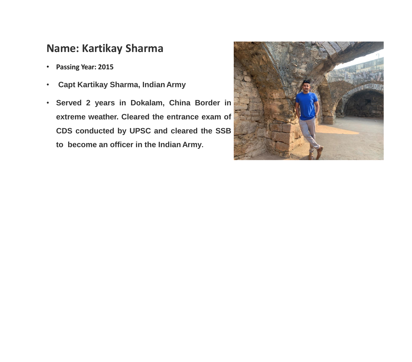#### **Name: Kartikay Sharma**

- **Passing Year: 2015**
- **Capt Kartikay Sharma, Indian Army**
- **Served 2 years in Dokalam, China Border in extreme weather. Cleared the entrance exam of CDS conducted by UPSC and cleared the SSB to become an officer in the Indian Army.**